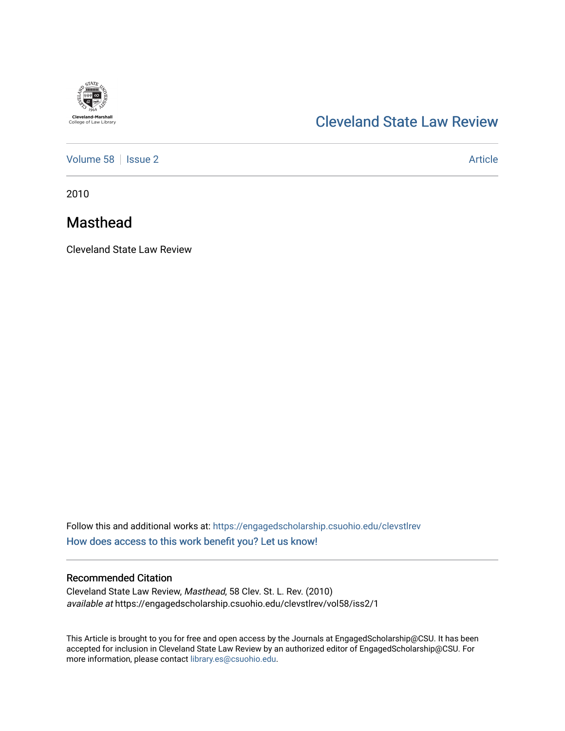

# [Cleveland State Law Review](https://engagedscholarship.csuohio.edu/clevstlrev)

[Volume 58](https://engagedscholarship.csuohio.edu/clevstlrev/vol58) | [Issue 2](https://engagedscholarship.csuohio.edu/clevstlrev/vol58/iss2) Article

2010

# Masthead

Cleveland State Law Review

Follow this and additional works at: [https://engagedscholarship.csuohio.edu/clevstlrev](https://engagedscholarship.csuohio.edu/clevstlrev?utm_source=engagedscholarship.csuohio.edu%2Fclevstlrev%2Fvol58%2Fiss2%2F1&utm_medium=PDF&utm_campaign=PDFCoverPages) [How does access to this work benefit you? Let us know!](http://library.csuohio.edu/engaged/)

### Recommended Citation

Cleveland State Law Review, Masthead, 58 Clev. St. L. Rev. (2010) available at https://engagedscholarship.csuohio.edu/clevstlrev/vol58/iss2/1

This Article is brought to you for free and open access by the Journals at EngagedScholarship@CSU. It has been accepted for inclusion in Cleveland State Law Review by an authorized editor of EngagedScholarship@CSU. For more information, please contact [library.es@csuohio.edu](mailto:library.es@csuohio.edu).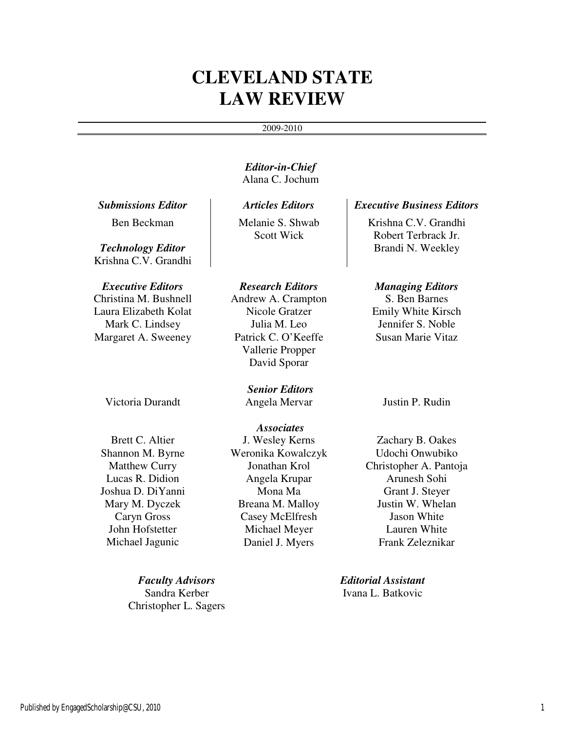# **CLEVELAND STATE LAW REVIEW**

#### 2009-2010

*Editor-in-Chief*  Alana C. Jochum

Ben Beckman

*Technology Editor*  Krishna C.V. Grandhi

Christina M. Bushnell Laura Elizabeth Kolat Mark C. Lindsey Margaret A. Sweeney

Victoria Durandt Angela Mervar Justin P. Rudin

Brett C. Altier Shannon M. Byrne Matthew Curry Lucas R. Didion Joshua D. DiYanni Mary M. Dyczek Caryn Gross John Hofstetter Michael Jagunic

> *Faculty Advisors Editorial Assistant*  Sandra Kerber Christopher L. Sagers

Melanie S. Shwab Scott Wick

## Andrew A. Crampton Nicole Gratzer Julia M. Leo Patrick C. O'Keeffe Vallerie Propper David Sporar

*Senior Editors* 

*Associates*  J. Wesley Kerns Weronika Kowalczyk Jonathan Krol Angela Krupar Mona Ma Breana M. Malloy Casey McElfresh Michael Meyer Daniel J. Myers

## *Submissions Editor Articles Editors Executive Business Editors*

Krishna C.V. Grandhi Robert Terbrack Jr. Brandi N. Weekley

## *Executive Editors Research Editors Managing Editors*

S. Ben Barnes Emily White Kirsch Jennifer S. Noble Susan Marie Vitaz

Zachary B. Oakes Udochi Onwubiko Christopher A. Pantoja Arunesh Sohi Grant J. Steyer Justin W. Whelan Jason White Lauren White Frank Zeleznikar

Ivana L. Batkovic